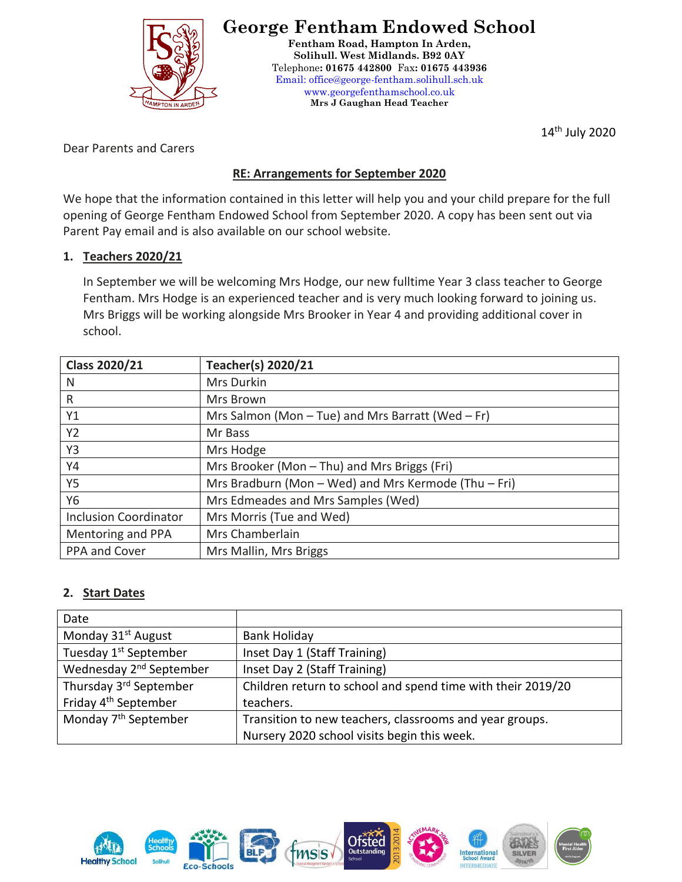

# **George Fentham Endowed School**

**Fentham Road, Hampton In Arden, Solihull. West Midlands. B92 0AY** Telephone**: 01675 442800** Fax**: 01675 443936** Email: office@george-fentham.solihull.sch.uk www.georgefenthamschool.co.uk **Mrs J Gaughan Head Teacher**

14th July 2020

Dear Parents and Carers

# **RE: Arrangements for September 2020**

We hope that the information contained in this letter will help you and your child prepare for the full opening of George Fentham Endowed School from September 2020. A copy has been sent out via Parent Pay email and is also available on our school website.

## **1. Teachers 2020/21**

In September we will be welcoming Mrs Hodge, our new fulltime Year 3 class teacher to George Fentham. Mrs Hodge is an experienced teacher and is very much looking forward to joining us. Mrs Briggs will be working alongside Mrs Brooker in Year 4 and providing additional cover in school.

| <b>Class 2020/21</b>         | <b>Teacher(s) 2020/21</b>                             |
|------------------------------|-------------------------------------------------------|
| N                            | Mrs Durkin                                            |
| $\mathsf{R}$                 | Mrs Brown                                             |
| Y1                           | Mrs Salmon (Mon $-$ Tue) and Mrs Barratt (Wed $-$ Fr) |
| <b>Y2</b>                    | Mr Bass                                               |
| Y3                           | Mrs Hodge                                             |
| Y4                           | Mrs Brooker (Mon - Thu) and Mrs Briggs (Fri)          |
| <b>Y5</b>                    | Mrs Bradburn (Mon - Wed) and Mrs Kermode (Thu - Fri)  |
| Y6                           | Mrs Edmeades and Mrs Samples (Wed)                    |
| <b>Inclusion Coordinator</b> | Mrs Morris (Tue and Wed)                              |
| Mentoring and PPA            | Mrs Chamberlain                                       |
| PPA and Cover                | Mrs Mallin, Mrs Briggs                                |

## **2. Start Dates**

| Date                                |                                                             |
|-------------------------------------|-------------------------------------------------------------|
| Monday 31 <sup>st</sup> August      | <b>Bank Holiday</b>                                         |
| Tuesday 1 <sup>st</sup> September   | Inset Day 1 (Staff Training)                                |
| Wednesday 2 <sup>nd</sup> September | Inset Day 2 (Staff Training)                                |
| Thursday 3rd September              | Children return to school and spend time with their 2019/20 |
| Friday 4 <sup>th</sup> September    | teachers.                                                   |
| Monday 7 <sup>th</sup> September    | Transition to new teachers, classrooms and year groups.     |
|                                     | Nursery 2020 school visits begin this week.                 |

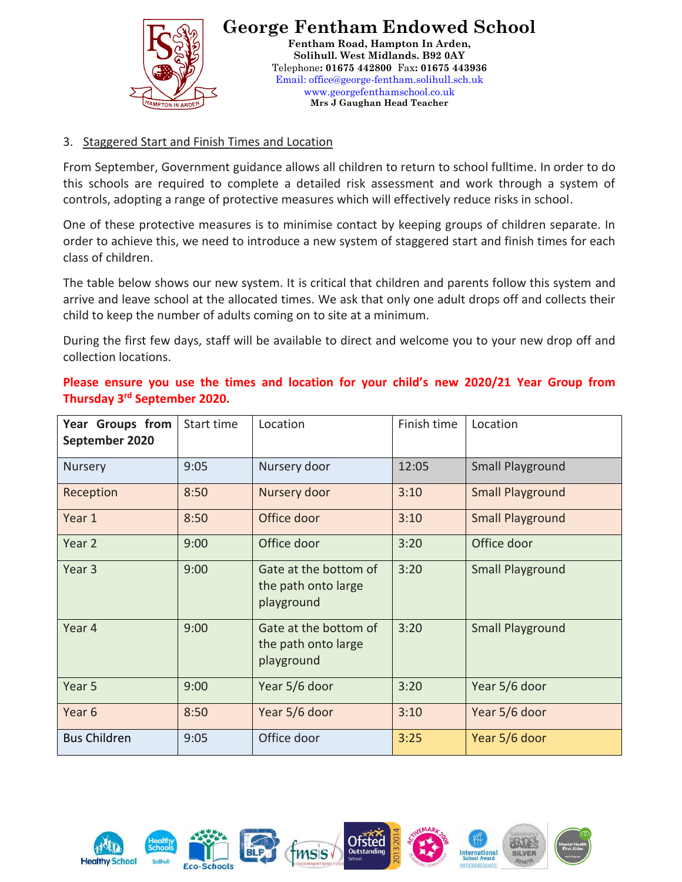

### 3. Staggered Start and Finish Times and Location

From September, Government guidance allows all children to return to school fulltime. In order to do this schools are required to complete a detailed risk assessment and work through a system of controls, adopting a range of protective measures which will effectively reduce risks in school.

One of these protective measures is to minimise contact by keeping groups of children separate. In order to achieve this, we need to introduce a new system of staggered start and finish times for each class of children.

The table below shows our new system. It is critical that children and parents follow this system and arrive and leave school at the allocated times. We ask that only one adult drops off and collects their child to keep the number of adults coming on to site at a minimum.

During the first few days, staff will be available to direct and welcome you to your new drop off and collection locations.

**Please ensure you use the times and location for your child's new 2020/21 Year Group from Thursday 3rd September 2020.**

| Year Groups from<br>September 2020 | Start time | Location                                                   | Finish time | Location                |
|------------------------------------|------------|------------------------------------------------------------|-------------|-------------------------|
| <b>Nursery</b>                     | 9:05       | Nursery door                                               | 12:05       | Small Playground        |
| Reception                          | 8:50       | Nursery door                                               | 3:10        | <b>Small Playground</b> |
| Year 1                             | 8:50       | Office door                                                | 3:10        | <b>Small Playground</b> |
| Year 2                             | 9:00       | Office door                                                | 3:20        | Office door             |
| Year <sub>3</sub>                  | 9:00       | Gate at the bottom of<br>the path onto large<br>playground | 3:20        | <b>Small Playground</b> |
| Year 4                             | 9:00       | Gate at the bottom of<br>the path onto large<br>playground | 3:20        | <b>Small Playground</b> |
| Year 5                             | 9:00       | Year 5/6 door                                              | 3:20        | Year 5/6 door           |
| Year <sub>6</sub>                  | 8:50       | Year 5/6 door                                              | 3:10        | Year 5/6 door           |
| <b>Bus Children</b>                | 9:05       | Office door                                                | 3:25        | Year 5/6 door           |

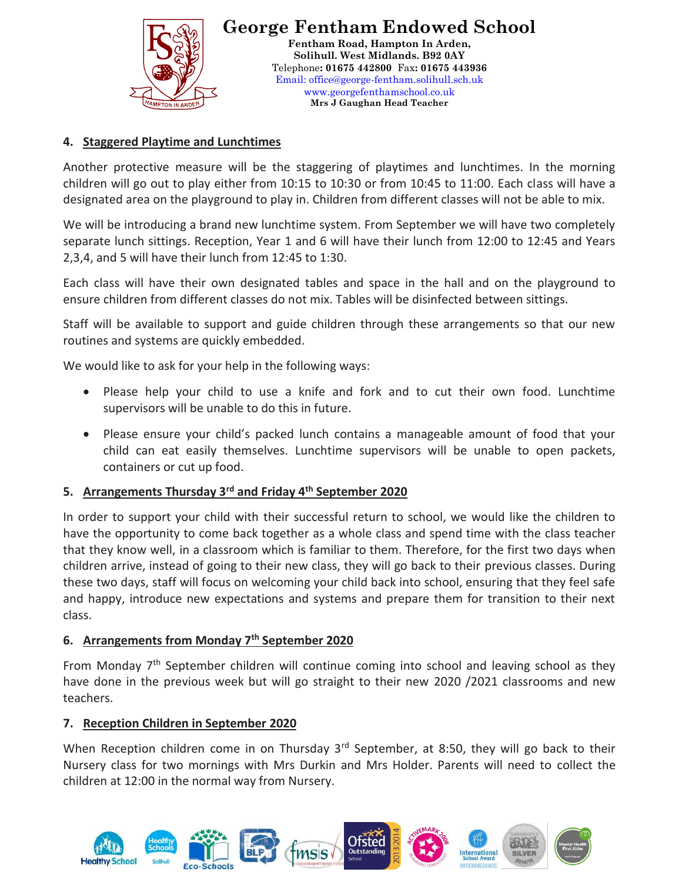

#### **4. Staggered Playtime and Lunchtimes**

Another protective measure will be the staggering of playtimes and lunchtimes. In the morning children will go out to play either from 10:15 to 10:30 or from 10:45 to 11:00. Each class will have a designated area on the playground to play in. Children from different classes will not be able to mix.

We will be introducing a brand new lunchtime system. From September we will have two completely separate lunch sittings. Reception, Year 1 and 6 will have their lunch from 12:00 to 12:45 and Years 2,3,4, and 5 will have their lunch from 12:45 to 1:30.

Each class will have their own designated tables and space in the hall and on the playground to ensure children from different classes do not mix. Tables will be disinfected between sittings.

Staff will be available to support and guide children through these arrangements so that our new routines and systems are quickly embedded.

We would like to ask for your help in the following ways:

- Please help your child to use a knife and fork and to cut their own food. Lunchtime supervisors will be unable to do this in future.
- Please ensure your child's packed lunch contains a manageable amount of food that your child can eat easily themselves. Lunchtime supervisors will be unable to open packets, containers or cut up food.

#### **5. Arrangements Thursday 3rd and Friday 4th September 2020**

In order to support your child with their successful return to school, we would like the children to have the opportunity to come back together as a whole class and spend time with the class teacher that they know well, in a classroom which is familiar to them. Therefore, for the first two days when children arrive, instead of going to their new class, they will go back to their previous classes. During these two days, staff will focus on welcoming your child back into school, ensuring that they feel safe and happy, introduce new expectations and systems and prepare them for transition to their next class.

#### **6. Arrangements from Monday 7th September 2020**

From Monday  $7<sup>th</sup>$  September children will continue coming into school and leaving school as they have done in the previous week but will go straight to their new 2020 /2021 classrooms and new teachers.

#### **7. Reception Children in September 2020**

When Reception children come in on Thursday  $3<sup>rd</sup>$  September, at 8:50, they will go back to their Nursery class for two mornings with Mrs Durkin and Mrs Holder. Parents will need to collect the children at 12:00 in the normal way from Nursery.

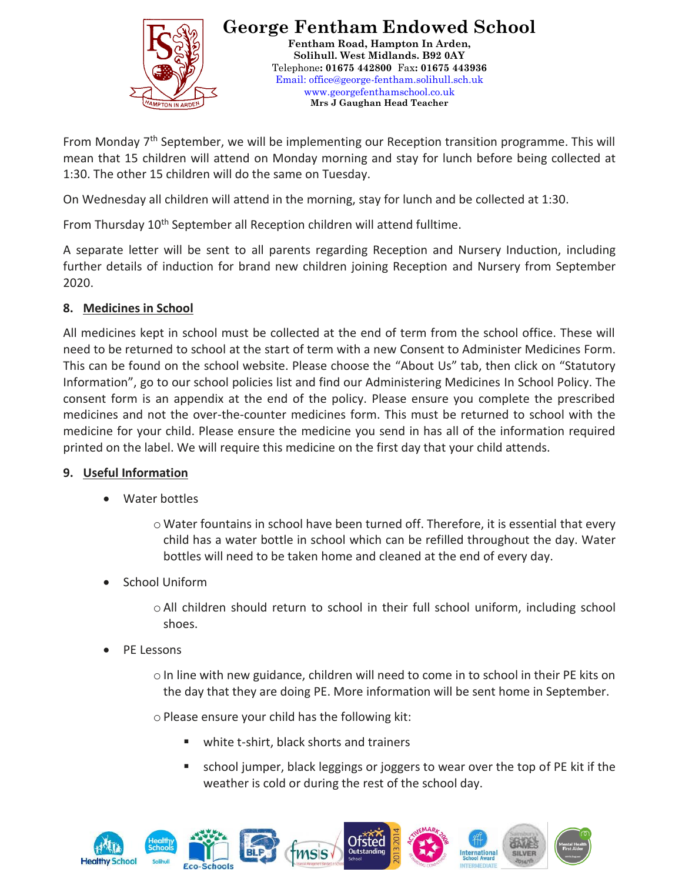

From Monday  $7<sup>th</sup>$  September, we will be implementing our Reception transition programme. This will mean that 15 children will attend on Monday morning and stay for lunch before being collected at 1:30. The other 15 children will do the same on Tuesday.

On Wednesday all children will attend in the morning, stay for lunch and be collected at 1:30.

From Thursday 10<sup>th</sup> September all Reception children will attend fulltime.

A separate letter will be sent to all parents regarding Reception and Nursery Induction, including further details of induction for brand new children joining Reception and Nursery from September 2020.

## **8. Medicines in School**

All medicines kept in school must be collected at the end of term from the school office. These will need to be returned to school at the start of term with a new Consent to Administer Medicines Form. This can be found on the school website. Please choose the "About Us" tab, then click on "Statutory Information", go to our school policies list and find our Administering Medicines In School Policy. The consent form is an appendix at the end of the policy. Please ensure you complete the prescribed medicines and not the over-the-counter medicines form. This must be returned to school with the medicine for your child. Please ensure the medicine you send in has all of the information required printed on the label. We will require this medicine on the first day that your child attends.

## **9. Useful Information**

Water bottles

o Water fountains in school have been turned off. Therefore, it is essential that every child has a water bottle in school which can be refilled throughout the day. Water bottles will need to be taken home and cleaned at the end of every day.

School Uniform

oAll children should return to school in their full school uniform, including school shoes.

PE Lessons

 $\circ$  In line with new guidance, children will need to come in to school in their PE kits on the day that they are doing PE. More information will be sent home in September.

 $\circ$  Please ensure your child has the following kit:

- white t-shirt, black shorts and trainers
- school jumper, black leggings or joggers to wear over the top of PE kit if the weather is cold or during the rest of the school day.